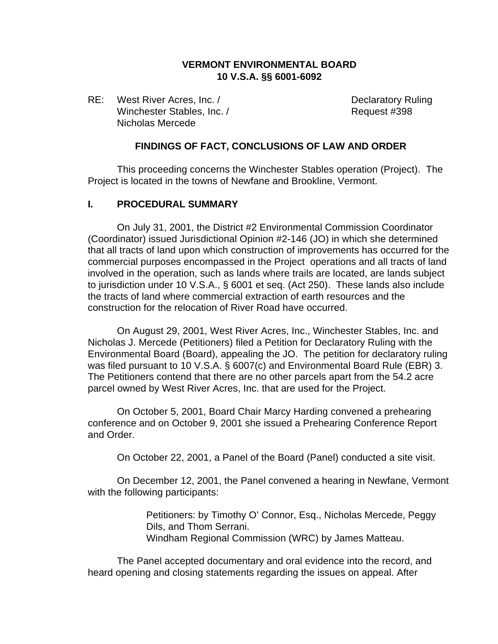### **VERMONT ENVIRONMENTAL BOARD 10 V.S.A. §§ 6001-6092**

RE: West River Acres, Inc. / Case Contract Contract Declaratory Ruling Winchester Stables, Inc. / Request #398 Nicholas Mercede

#### **FINDINGS OF FACT, CONCLUSIONS OF LAW AND ORDER**

This proceeding concerns the Winchester Stables operation (Project). The Project is located in the towns of Newfane and Brookline, Vermont.

#### **I. PROCEDURAL SUMMARY**

On July 31, 2001, the District #2 Environmental Commission Coordinator (Coordinator) issued Jurisdictional Opinion #2-146 (JO) in which she determined that all tracts of land upon which construction of improvements has occurred for the commercial purposes encompassed in the Project operations and all tracts of land involved in the operation, such as lands where trails are located, are lands subject to jurisdiction under 10 V.S.A., § 6001 et seq. (Act 250). These lands also include the tracts of land where commercial extraction of earth resources and the construction for the relocation of River Road have occurred.

On August 29, 2001, West River Acres, Inc., Winchester Stables, Inc. and Nicholas J. Mercede (Petitioners) filed a Petition for Declaratory Ruling with the Environmental Board (Board), appealing the JO. The petition for declaratory ruling was filed pursuant to 10 V.S.A. § 6007(c) and Environmental Board Rule (EBR) 3. The Petitioners contend that there are no other parcels apart from the 54.2 acre parcel owned by West River Acres, Inc. that are used for the Project.

On October 5, 2001, Board Chair Marcy Harding convened a prehearing conference and on October 9, 2001 she issued a Prehearing Conference Report and Order.

On October 22, 2001, a Panel of the Board (Panel) conducted a site visit.

On December 12, 2001, the Panel convened a hearing in Newfane, Vermont with the following participants:

> Petitioners: by Timothy O' Connor, Esq., Nicholas Mercede, Peggy Dils, and Thom Serrani. Windham Regional Commission (WRC) by James Matteau.

The Panel accepted documentary and oral evidence into the record, and heard opening and closing statements regarding the issues on appeal. After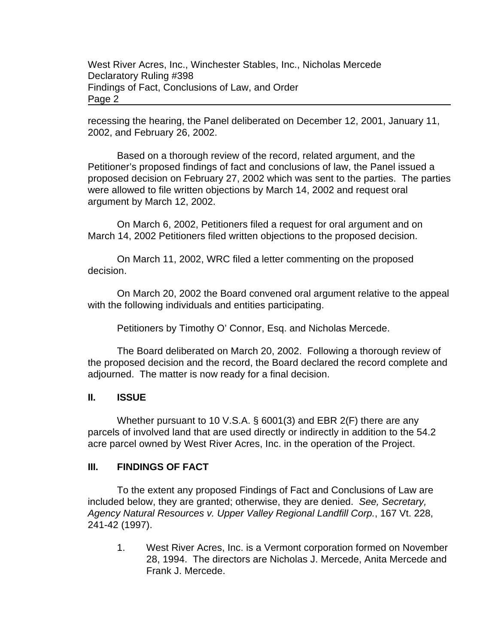recessing the hearing, the Panel deliberated on December 12, 2001, January 11, 2002, and February 26, 2002.

Based on a thorough review of the record, related argument, and the Petitioner's proposed findings of fact and conclusions of law, the Panel issued a proposed decision on February 27, 2002 which was sent to the parties. The parties were allowed to file written objections by March 14, 2002 and request oral argument by March 12, 2002.

On March 6, 2002, Petitioners filed a request for oral argument and on March 14, 2002 Petitioners filed written objections to the proposed decision.

On March 11, 2002, WRC filed a letter commenting on the proposed decision.

On March 20, 2002 the Board convened oral argument relative to the appeal with the following individuals and entities participating.

Petitioners by Timothy O' Connor, Esq. and Nicholas Mercede.

The Board deliberated on March 20, 2002. Following a thorough review of the proposed decision and the record, the Board declared the record complete and adjourned. The matter is now ready for a final decision.

#### **II. ISSUE**

Whether pursuant to 10 V.S.A. § 6001(3) and EBR 2(F) there are any parcels of involved land that are used directly or indirectly in addition to the 54.2 acre parcel owned by West River Acres, Inc. in the operation of the Project.

### **III. FINDINGS OF FACT**

To the extent any proposed Findings of Fact and Conclusions of Law are included below, they are granted; otherwise, they are denied. *See, Secretary, Agency Natural Resources v. Upper Valley Regional Landfill Corp.*, 167 Vt. 228, 241-42 (1997).

1. West River Acres, Inc. is a Vermont corporation formed on November 28, 1994. The directors are Nicholas J. Mercede, Anita Mercede and Frank J. Mercede.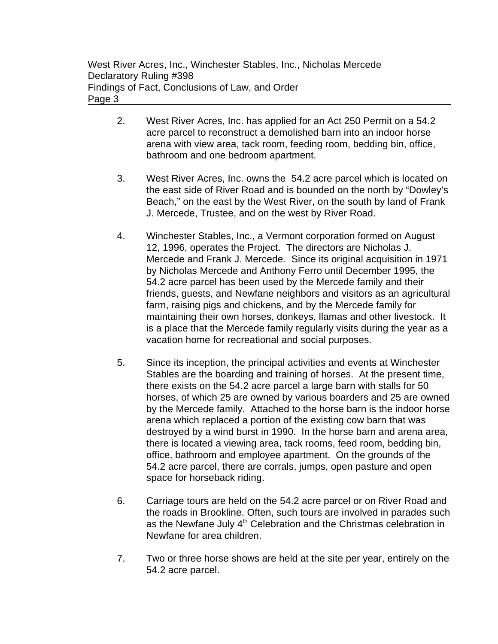- 2. West River Acres, Inc. has applied for an Act 250 Permit on a 54.2 acre parcel to reconstruct a demolished barn into an indoor horse arena with view area, tack room, feeding room, bedding bin, office, bathroom and one bedroom apartment.
- 3. West River Acres, Inc. owns the 54.2 acre parcel which is located on the east side of River Road and is bounded on the north by "Dowley's Beach," on the east by the West River, on the south by land of Frank J. Mercede, Trustee, and on the west by River Road.
- 4. Winchester Stables, Inc., a Vermont corporation formed on August 12, 1996, operates the Project. The directors are Nicholas J. Mercede and Frank J. Mercede. Since its original acquisition in 1971 by Nicholas Mercede and Anthony Ferro until December 1995, the 54.2 acre parcel has been used by the Mercede family and their friends, guests, and Newfane neighbors and visitors as an agricultural farm, raising pigs and chickens, and by the Mercede family for maintaining their own horses, donkeys, llamas and other livestock. It is a place that the Mercede family regularly visits during the year as a vacation home for recreational and social purposes.
- 5. Since its inception, the principal activities and events at Winchester Stables are the boarding and training of horses. At the present time, there exists on the 54.2 acre parcel a large barn with stalls for 50 horses, of which 25 are owned by various boarders and 25 are owned by the Mercede family. Attached to the horse barn is the indoor horse arena which replaced a portion of the existing cow barn that was destroyed by a wind burst in 1990. In the horse barn and arena area, there is located a viewing area, tack rooms, feed room, bedding bin, office, bathroom and employee apartment. On the grounds of the 54.2 acre parcel, there are corrals, jumps, open pasture and open space for horseback riding.
- 6. Carriage tours are held on the 54.2 acre parcel or on River Road and the roads in Brookline. Often, such tours are involved in parades such as the Newfane July  $4<sup>th</sup>$  Celebration and the Christmas celebration in Newfane for area children.
- 7. Two or three horse shows are held at the site per year, entirely on the 54.2 acre parcel.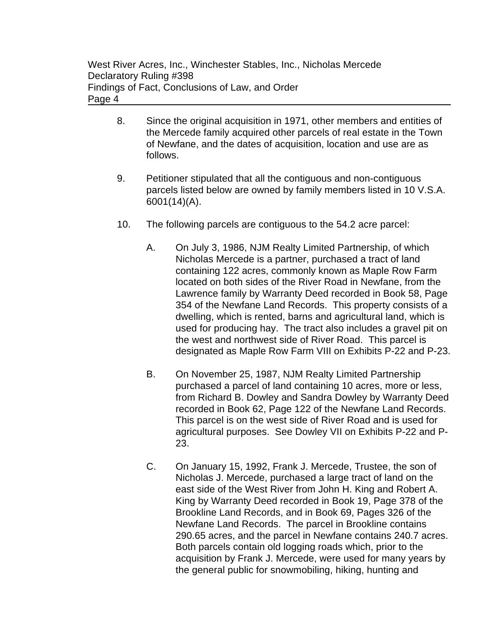- 8. Since the original acquisition in 1971, other members and entities of the Mercede family acquired other parcels of real estate in the Town of Newfane, and the dates of acquisition, location and use are as follows.
- 9. Petitioner stipulated that all the contiguous and non-contiguous parcels listed below are owned by family members listed in 10 V.S.A. 6001(14)(A).
- 10. The following parcels are contiguous to the 54.2 acre parcel:
	- A. On July 3, 1986, NJM Realty Limited Partnership, of which Nicholas Mercede is a partner, purchased a tract of land containing 122 acres, commonly known as Maple Row Farm located on both sides of the River Road in Newfane, from the Lawrence family by Warranty Deed recorded in Book 58, Page 354 of the Newfane Land Records. This property consists of a dwelling, which is rented, barns and agricultural land, which is used for producing hay. The tract also includes a gravel pit on the west and northwest side of River Road. This parcel is designated as Maple Row Farm VIII on Exhibits P-22 and P-23.
	- B. On November 25, 1987, NJM Realty Limited Partnership purchased a parcel of land containing 10 acres, more or less, from Richard B. Dowley and Sandra Dowley by Warranty Deed recorded in Book 62, Page 122 of the Newfane Land Records. This parcel is on the west side of River Road and is used for agricultural purposes. See Dowley VII on Exhibits P-22 and P-23.
	- C. On January 15, 1992, Frank J. Mercede, Trustee, the son of Nicholas J. Mercede, purchased a large tract of land on the east side of the West River from John H. King and Robert A. King by Warranty Deed recorded in Book 19, Page 378 of the Brookline Land Records, and in Book 69, Pages 326 of the Newfane Land Records. The parcel in Brookline contains 290.65 acres, and the parcel in Newfane contains 240.7 acres. Both parcels contain old logging roads which, prior to the acquisition by Frank J. Mercede, were used for many years by the general public for snowmobiling, hiking, hunting and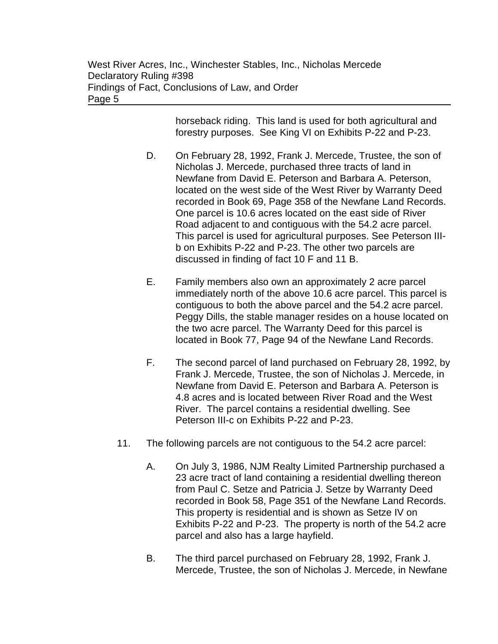horseback riding. This land is used for both agricultural and forestry purposes. See King VI on Exhibits P-22 and P-23.

- D. On February 28, 1992, Frank J. Mercede, Trustee, the son of Nicholas J. Mercede, purchased three tracts of land in Newfane from David E. Peterson and Barbara A. Peterson, located on the west side of the West River by Warranty Deed recorded in Book 69, Page 358 of the Newfane Land Records. One parcel is 10.6 acres located on the east side of River Road adjacent to and contiguous with the 54.2 acre parcel. This parcel is used for agricultural purposes. See Peterson IIIb on Exhibits P-22 and P-23. The other two parcels are discussed in finding of fact 10 F and 11 B.
- E. Family members also own an approximately 2 acre parcel immediately north of the above 10.6 acre parcel. This parcel is contiguous to both the above parcel and the 54.2 acre parcel. Peggy Dills, the stable manager resides on a house located on the two acre parcel. The Warranty Deed for this parcel is located in Book 77, Page 94 of the Newfane Land Records.
- F. The second parcel of land purchased on February 28, 1992, by Frank J. Mercede, Trustee, the son of Nicholas J. Mercede, in Newfane from David E. Peterson and Barbara A. Peterson is 4.8 acres and is located between River Road and the West River. The parcel contains a residential dwelling. See Peterson III-c on Exhibits P-22 and P-23.
- 11. The following parcels are not contiguous to the 54.2 acre parcel:
	- A. On July 3, 1986, NJM Realty Limited Partnership purchased a 23 acre tract of land containing a residential dwelling thereon from Paul C. Setze and Patricia J. Setze by Warranty Deed recorded in Book 58, Page 351 of the Newfane Land Records. This property is residential and is shown as Setze IV on Exhibits P-22 and P-23. The property is north of the 54.2 acre parcel and also has a large hayfield.
	- B. The third parcel purchased on February 28, 1992, Frank J. Mercede, Trustee, the son of Nicholas J. Mercede, in Newfane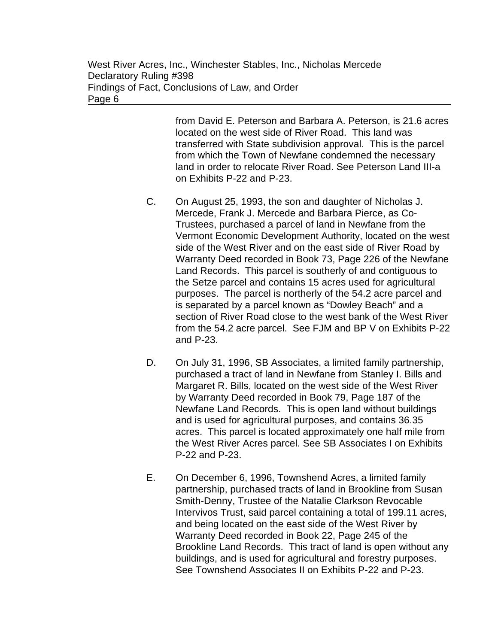from David E. Peterson and Barbara A. Peterson, is 21.6 acres located on the west side of River Road. This land was transferred with State subdivision approval. This is the parcel from which the Town of Newfane condemned the necessary land in order to relocate River Road. See Peterson Land III-a on Exhibits P-22 and P-23.

- C. On August 25, 1993, the son and daughter of Nicholas J. Mercede, Frank J. Mercede and Barbara Pierce, as Co-Trustees, purchased a parcel of land in Newfane from the Vermont Economic Development Authority, located on the west side of the West River and on the east side of River Road by Warranty Deed recorded in Book 73, Page 226 of the Newfane Land Records. This parcel is southerly of and contiguous to the Setze parcel and contains 15 acres used for agricultural purposes. The parcel is northerly of the 54.2 acre parcel and is separated by a parcel known as "Dowley Beach" and a section of River Road close to the west bank of the West River from the 54.2 acre parcel. See FJM and BP V on Exhibits P-22 and P-23.
- D. On July 31, 1996, SB Associates, a limited family partnership, purchased a tract of land in Newfane from Stanley I. Bills and Margaret R. Bills, located on the west side of the West River by Warranty Deed recorded in Book 79, Page 187 of the Newfane Land Records. This is open land without buildings and is used for agricultural purposes, and contains 36.35 acres. This parcel is located approximately one half mile from the West River Acres parcel. See SB Associates I on Exhibits P-22 and P-23.
- E. On December 6, 1996, Townshend Acres, a limited family partnership, purchased tracts of land in Brookline from Susan Smith-Denny, Trustee of the Natalie Clarkson Revocable Intervivos Trust, said parcel containing a total of 199.11 acres, and being located on the east side of the West River by Warranty Deed recorded in Book 22, Page 245 of the Brookline Land Records. This tract of land is open without any buildings, and is used for agricultural and forestry purposes. See Townshend Associates II on Exhibits P-22 and P-23.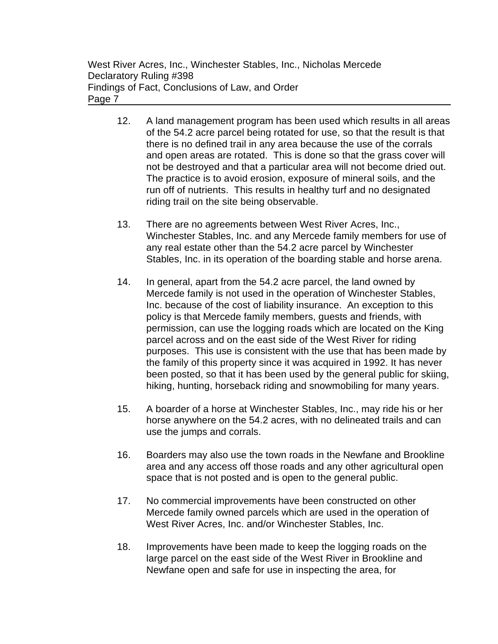- 12. A land management program has been used which results in all areas of the 54.2 acre parcel being rotated for use, so that the result is that there is no defined trail in any area because the use of the corrals and open areas are rotated. This is done so that the grass cover will not be destroyed and that a particular area will not become dried out. The practice is to avoid erosion, exposure of mineral soils, and the run off of nutrients. This results in healthy turf and no designated riding trail on the site being observable.
- 13. There are no agreements between West River Acres, Inc., Winchester Stables, Inc. and any Mercede family members for use of any real estate other than the 54.2 acre parcel by Winchester Stables, Inc. in its operation of the boarding stable and horse arena.
- 14. In general, apart from the 54.2 acre parcel, the land owned by Mercede family is not used in the operation of Winchester Stables, Inc. because of the cost of liability insurance. An exception to this policy is that Mercede family members, guests and friends, with permission, can use the logging roads which are located on the King parcel across and on the east side of the West River for riding purposes. This use is consistent with the use that has been made by the family of this property since it was acquired in 1992. It has never been posted, so that it has been used by the general public for skiing, hiking, hunting, horseback riding and snowmobiling for many years.
- 15. A boarder of a horse at Winchester Stables, Inc., may ride his or her horse anywhere on the 54.2 acres, with no delineated trails and can use the jumps and corrals.
- 16. Boarders may also use the town roads in the Newfane and Brookline area and any access off those roads and any other agricultural open space that is not posted and is open to the general public.
- 17. No commercial improvements have been constructed on other Mercede family owned parcels which are used in the operation of West River Acres, Inc. and/or Winchester Stables, Inc.
- 18. Improvements have been made to keep the logging roads on the large parcel on the east side of the West River in Brookline and Newfane open and safe for use in inspecting the area, for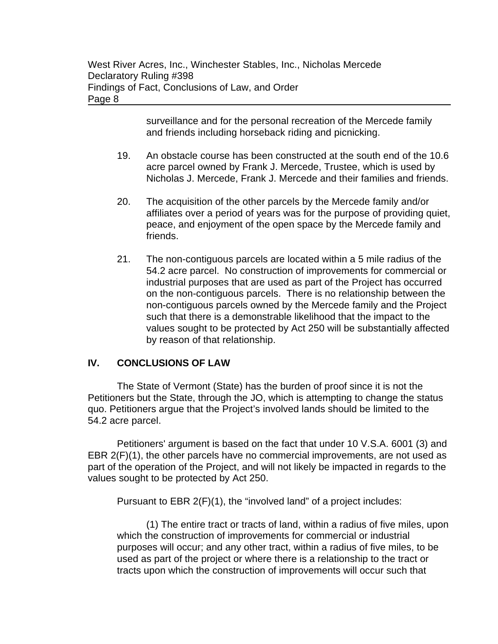surveillance and for the personal recreation of the Mercede family and friends including horseback riding and picnicking.

- 19. An obstacle course has been constructed at the south end of the 10.6 acre parcel owned by Frank J. Mercede, Trustee, which is used by Nicholas J. Mercede, Frank J. Mercede and their families and friends.
- 20. The acquisition of the other parcels by the Mercede family and/or affiliates over a period of years was for the purpose of providing quiet, peace, and enjoyment of the open space by the Mercede family and friends.
- 21. The non-contiguous parcels are located within a 5 mile radius of the 54.2 acre parcel. No construction of improvements for commercial or industrial purposes that are used as part of the Project has occurred on the non-contiguous parcels. There is no relationship between the non-contiguous parcels owned by the Mercede family and the Project such that there is a demonstrable likelihood that the impact to the values sought to be protected by Act 250 will be substantially affected by reason of that relationship.

# **IV. CONCLUSIONS OF LAW**

The State of Vermont (State) has the burden of proof since it is not the Petitioners but the State, through the JO, which is attempting to change the status quo. Petitioners argue that the Project's involved lands should be limited to the 54.2 acre parcel.

Petitioners' argument is based on the fact that under 10 V.S.A. 6001 (3) and EBR 2(F)(1), the other parcels have no commercial improvements, are not used as part of the operation of the Project, and will not likely be impacted in regards to the values sought to be protected by Act 250.

Pursuant to EBR 2(F)(1), the "involved land" of a project includes:

(1) The entire tract or tracts of land, within a radius of five miles, upon which the construction of improvements for commercial or industrial purposes will occur; and any other tract, within a radius of five miles, to be used as part of the project or where there is a relationship to the tract or tracts upon which the construction of improvements will occur such that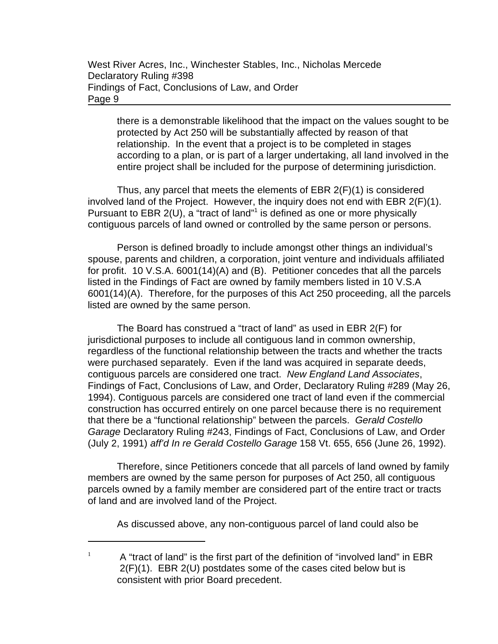there is a demonstrable likelihood that the impact on the values sought to be protected by Act 250 will be substantially affected by reason of that relationship. In the event that a project is to be completed in stages according to a plan, or is part of a larger undertaking, all land involved in the entire project shall be included for the purpose of determining jurisdiction.

Thus, any parcel that meets the elements of EBR  $2(F)(1)$  is considered involved land of the Project. However, the inquiry does not end with EBR 2(F)(1). Pursuant to EBR 2(U), a "tract of land"<sup>1</sup> is defined as one or more physically contiguous parcels of land owned or controlled by the same person or persons.

Person is defined broadly to include amongst other things an individual's spouse, parents and children, a corporation, joint venture and individuals affiliated for profit. 10 V.S.A. 6001(14)(A) and (B). Petitioner concedes that all the parcels listed in the Findings of Fact are owned by family members listed in 10 V.S.A 6001(14)(A). Therefore, for the purposes of this Act 250 proceeding, all the parcels listed are owned by the same person.

The Board has construed a "tract of land" as used in EBR 2(F) for jurisdictional purposes to include all contiguous land in common ownership, regardless of the functional relationship between the tracts and whether the tracts were purchased separately. Even if the land was acquired in separate deeds, contiguous parcels are considered one tract. *New England Land Associates*, Findings of Fact, Conclusions of Law, and Order, Declaratory Ruling #289 (May 26, 1994). Contiguous parcels are considered one tract of land even if the commercial construction has occurred entirely on one parcel because there is no requirement that there be a "functional relationship" between the parcels. *Gerald Costello Garage* Declaratory Ruling #243, Findings of Fact, Conclusions of Law, and Order (July 2, 1991) *aff'd In re Gerald Costello Garage* 158 Vt. 655, 656 (June 26, 1992).

Therefore, since Petitioners concede that all parcels of land owned by family members are owned by the same person for purposes of Act 250, all contiguous parcels owned by a family member are considered part of the entire tract or tracts of land and are involved land of the Project.

As discussed above, any non-contiguous parcel of land could also be

<sup>1</sup> A "tract of land" is the first part of the definition of "involved land" in EBR 2(F)(1). EBR 2(U) postdates some of the cases cited below but is consistent with prior Board precedent.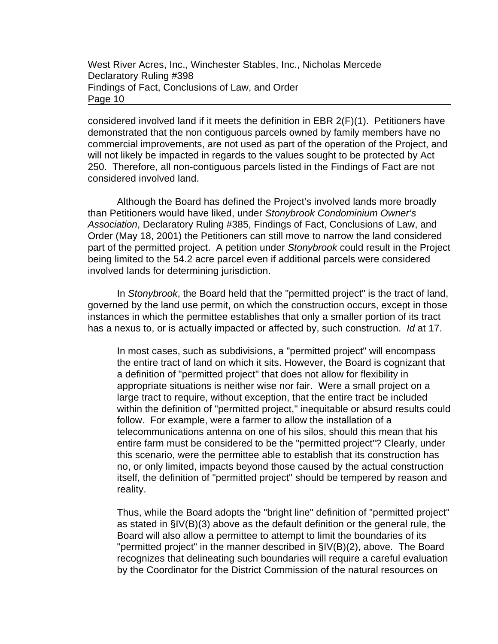considered involved land if it meets the definition in EBR 2(F)(1). Petitioners have demonstrated that the non contiguous parcels owned by family members have no commercial improvements, are not used as part of the operation of the Project, and will not likely be impacted in regards to the values sought to be protected by Act 250. Therefore, all non-contiguous parcels listed in the Findings of Fact are not considered involved land.

Although the Board has defined the Project's involved lands more broadly than Petitioners would have liked, under *Stonybrook Condominium Owner's Association*, Declaratory Ruling #385, Findings of Fact, Conclusions of Law, and Order (May 18, 2001) the Petitioners can still move to narrow the land considered part of the permitted project. A petition under *Stonybrook* could result in the Project being limited to the 54.2 acre parcel even if additional parcels were considered involved lands for determining jurisdiction.

In *Stonybrook*, the Board held that the "permitted project" is the tract of land, governed by the land use permit, on which the construction occurs, except in those instances in which the permittee establishes that only a smaller portion of its tract has a nexus to, or is actually impacted or affected by, such construction. *Id* at 17.

In most cases, such as subdivisions, a "permitted project" will encompass the entire tract of land on which it sits. However, the Board is cognizant that a definition of "permitted project" that does not allow for flexibility in appropriate situations is neither wise nor fair. Were a small project on a large tract to require, without exception, that the entire tract be included within the definition of "permitted project," inequitable or absurd results could follow. For example, were a farmer to allow the installation of a telecommunications antenna on one of his silos, should this mean that his entire farm must be considered to be the "permitted project"? Clearly, under this scenario, were the permittee able to establish that its construction has no, or only limited, impacts beyond those caused by the actual construction itself, the definition of "permitted project" should be tempered by reason and reality.

Thus, while the Board adopts the "bright line" definition of "permitted project" as stated in §IV(B)(3) above as the default definition or the general rule, the Board will also allow a permittee to attempt to limit the boundaries of its "permitted project" in the manner described in §IV(B)(2), above. The Board recognizes that delineating such boundaries will require a careful evaluation by the Coordinator for the District Commission of the natural resources on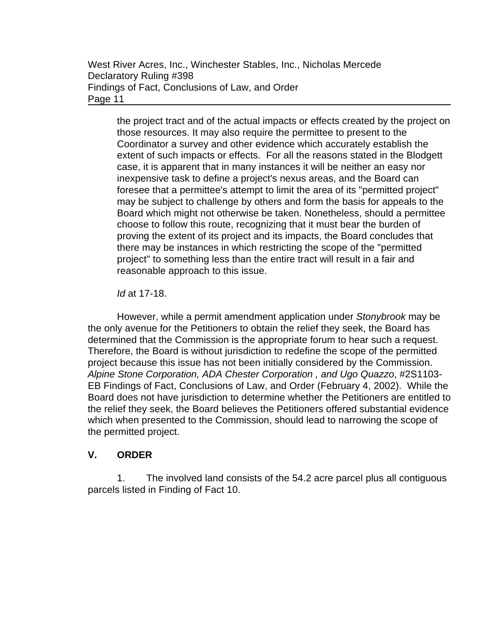the project tract and of the actual impacts or effects created by the project on those resources. It may also require the permittee to present to the Coordinator a survey and other evidence which accurately establish the extent of such impacts or effects. For all the reasons stated in the Blodgett case, it is apparent that in many instances it will be neither an easy nor inexpensive task to define a project's nexus areas, and the Board can foresee that a permittee's attempt to limit the area of its "permitted project" may be subject to challenge by others and form the basis for appeals to the Board which might not otherwise be taken. Nonetheless, should a permittee choose to follow this route, recognizing that it must bear the burden of proving the extent of its project and its impacts, the Board concludes that there may be instances in which restricting the scope of the "permitted project" to something less than the entire tract will result in a fair and reasonable approach to this issue.

*Id* at 17-18.

However, while a permit amendment application under *Stonybrook* may be the only avenue for the Petitioners to obtain the relief they seek, the Board has determined that the Commission is the appropriate forum to hear such a request. Therefore, the Board is without jurisdiction to redefine the scope of the permitted project because this issue has not been initially considered by the Commission. *Alpine Stone Corporation, ADA Chester Corporation , and Ugo Quazzo*, #2S1103- EB Findings of Fact, Conclusions of Law, and Order (February 4, 2002). While the Board does not have jurisdiction to determine whether the Petitioners are entitled to the relief they seek, the Board believes the Petitioners offered substantial evidence which when presented to the Commission, should lead to narrowing the scope of the permitted project.

# **V. ORDER**

1. The involved land consists of the 54.2 acre parcel plus all contiguous parcels listed in Finding of Fact 10.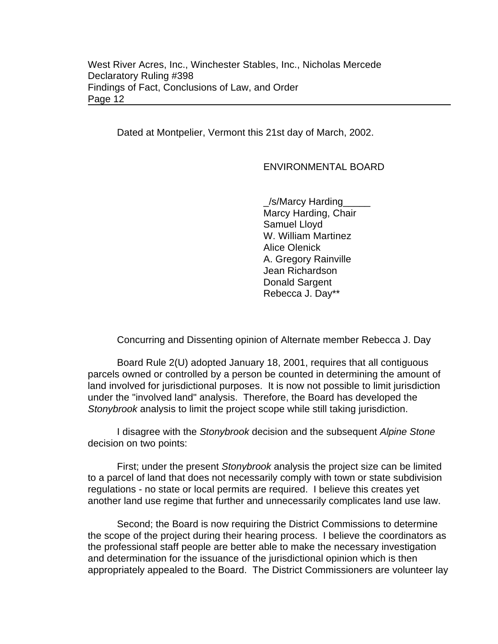Dated at Montpelier, Vermont this 21st day of March, 2002.

## ENVIRONMENTAL BOARD

\_/s/Marcy Harding\_\_\_\_\_ Marcy Harding, Chair Samuel Lloyd W. William Martinez Alice Olenick A. Gregory Rainville Jean Richardson Donald Sargent Rebecca J. Day\*\*

Concurring and Dissenting opinion of Alternate member Rebecca J. Day

Board Rule 2(U) adopted January 18, 2001, requires that all contiguous parcels owned or controlled by a person be counted in determining the amount of land involved for jurisdictional purposes. It is now not possible to limit jurisdiction under the "involved land" analysis. Therefore, the Board has developed the *Stonybrook* analysis to limit the project scope while still taking jurisdiction.

I disagree with the *Stonybrook* decision and the subsequent *Alpine Stone* decision on two points:

First; under the present *Stonybrook* analysis the project size can be limited to a parcel of land that does not necessarily comply with town or state subdivision regulations - no state or local permits are required. I believe this creates yet another land use regime that further and unnecessarily complicates land use law.

Second; the Board is now requiring the District Commissions to determine the scope of the project during their hearing process. I believe the coordinators as the professional staff people are better able to make the necessary investigation and determination for the issuance of the jurisdictional opinion which is then appropriately appealed to the Board. The District Commissioners are volunteer lay